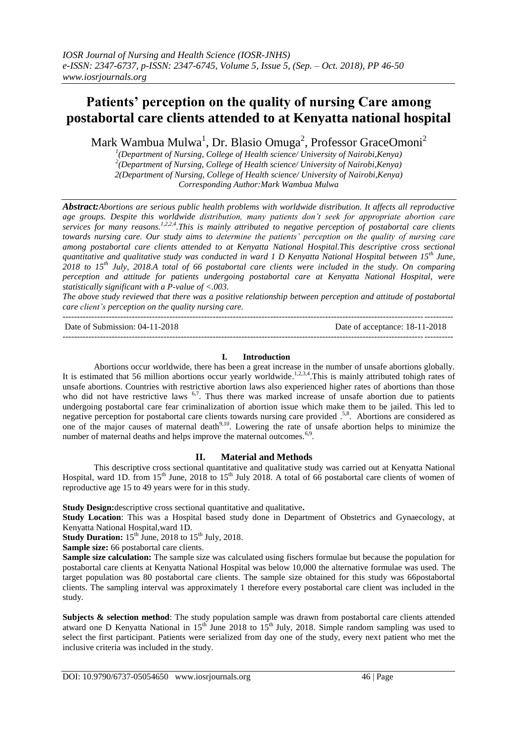# **Patients' perception on the quality of nursing Care among postabortal care clients attended to at Kenyatta national hospital**

Mark Wambua Mulwa<sup>1</sup>, Dr. Blasio Omuga<sup>2</sup>, Professor GraceOmoni<sup>2</sup>

*1 (Department of Nursing, College of Health science/ University of Nairobi,Kenya) 2 (Department of Nursing, College of Health science/ University of Nairobi,Kenya) 2(Department of Nursing, College of Health science/ University of Nairobi,Kenya) Corresponding Author:Mark Wambua Mulwa*

*Abstract:Abortions are serious public health problems with worldwide distribution. It affects all reproductive age groups. Despite this worldwide distribution, many patients don't seek for appropriate abortion care services for many reasons. 1,2,2,4.This is mainly attributed to negative perception of postabortal care clients towards nursing care. Our study aims to determine the patients' perception on the quality of nursing care among postabortal care clients attended to at Kenyatta National Hospital.This descriptive cross sectional quantitative and qualitative study was conducted in ward 1 D Kenyatta National Hospital between 15th June, 2018 to 15th July, 2018.A total of 66 postabortal care clients were included in the study. On comparing perception and attitude for patients undergoing postabortal care at Kenyatta National Hospital, were statistically significant with a P-value of <.003.*

*The above study reviewed that there was a positive relationship between perception and attitude of postabortal care client's perception on the quality nursing care.*

---------------------------------------------------------------------------------------------------------------------------------------

---------------------------------------------------------------------------------------------------------------------------------------

Date of Submission: 04-11-2018 Date of acceptance: 18-11-2018

# **I. Introduction**

Abortions occur worldwide, there has been a great increase in the number of unsafe abortions globally. It is estimated that 56 million abortions occur yearly worldwide.<sup>1,2,3,4</sup>. This is mainly attributed tohigh rates of unsafe abortions. Countries with restrictive abortion laws also experienced higher rates of abortions than those who did not have restrictive laws  $6.7$ . Thus there was marked increase of unsafe abortion due to patients undergoing postabortal care fear criminalization of abortion issue which make them to be jailed. This led to negative perception for postabortal care clients towards nursing care provided .<sup>5,8</sup>. Abortions are considered as one of the major causes of maternal death<sup>9,10</sup>. Lowering the rate of unsafe abortion helps to minimize the number of maternal deaths and helps improve the maternal outcomes.<sup>6,9</sup>.

## **II. Material and Methods**

This descriptive cross sectional quantitative and qualitative study was carried out at Kenyatta National Hospital, ward 1D. from 15<sup>th</sup> June, 2018 to 15<sup>th</sup> July 2018. A total of 66 postabortal care clients of women of reproductive age 15 to 49 years were for in this study.

**Study Design:**descriptive cross sectional quantitative and qualitative**.**

**Study Location**: This was a Hospital based study done in Department of Obstetrics and Gynaecology, at Kenyatta National Hospital,ward 1D.

**Study Duration:**  $15<sup>th</sup>$  June, 2018 to  $15<sup>th</sup>$  July, 2018.

**Sample size:** 66 postabortal care clients.

**Sample size calculation:** The sample size was calculated using fischers formulae but because the population for postabortal care clients at Kenyatta National Hospital was below 10,000 the alternative formulae was used. The target population was 80 postabortal care clients. The sample size obtained for this study was 66postabortal clients. The sampling interval was approximately 1 therefore every postabortal care client was included in the study.

**Subjects & selection method**: The study population sample was drawn from postabortal care clients attended atward one D Kenyatta National in  $15<sup>th</sup>$  June 2018 to  $15<sup>th</sup>$  July, 2018. Simple random sampling was used to select the first participant. Patients were serialized from day one of the study, every next patient who met the inclusive criteria was included in the study.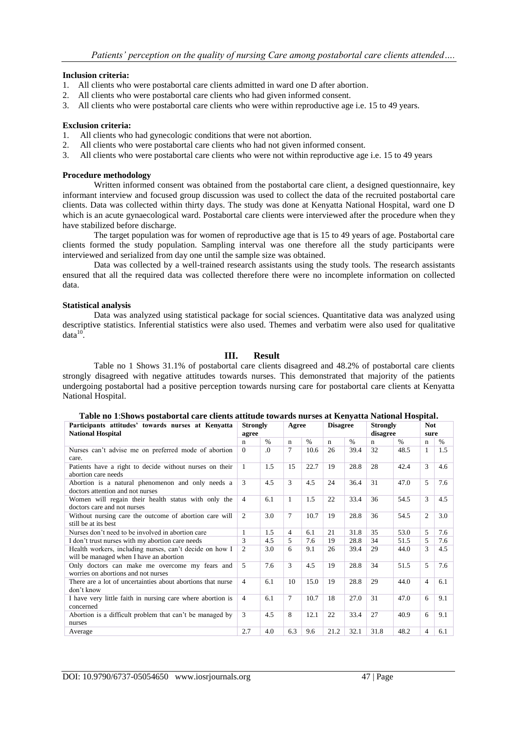#### **Inclusion criteria:**

- 1. All clients who were postabortal care clients admitted in ward one D after abortion.
- 2. All clients who were postabortal care clients who had given informed consent.
- 3. All clients who were postabortal care clients who were within reproductive age i.e. 15 to 49 years.

#### **Exclusion criteria:**

- 1. All clients who had gynecologic conditions that were not abortion.
- 2. All clients who were postabortal care clients who had not given informed consent.
- 3. All clients who were postabortal care clients who were not within reproductive age i.e. 15 to 49 years

#### **Procedure methodology**

Written informed consent was obtained from the postabortal care client, a designed questionnaire, key informant interview and focused group discussion was used to collect the data of the recruited postabortal care clients. Data was collected within thirty days. The study was done at Kenyatta National Hospital, ward one D which is an acute gynaecological ward. Postabortal care clients were interviewed after the procedure when they have stabilized before discharge.

The target population was for women of reproductive age that is 15 to 49 years of age. Postabortal care clients formed the study population. Sampling interval was one therefore all the study participants were interviewed and serialized from day one until the sample size was obtained.

Data was collected by a well-trained research assistants using the study tools. The research assistants ensured that all the required data was collected therefore there were no incomplete information on collected data.

#### **Statistical analysis**

Data was analyzed using statistical package for social sciences. Quantitative data was analyzed using descriptive statistics. Inferential statistics were also used. Themes and verbatim were also used for qualitative  $data^{10}$ .

### **III. Result**

Table no 1 Shows 31.1% of postabortal care clients disagreed and 48.2% of postabortal care clients strongly disagreed with negative attitudes towards nurses. This demonstrated that majority of the patients undergoing postabortal had a positive perception towards nursing care for postabortal care clients at Kenyatta National Hospital.

| Participants attitudes' towards nurses at Kenyatta<br><b>National Hospital</b>                     |          | <b>Strongly</b><br>agree | Agree        |      | <b>Disagree</b> |               | <b>Strongly</b><br>disagree |               | <b>Not</b><br>sure |      |
|----------------------------------------------------------------------------------------------------|----------|--------------------------|--------------|------|-----------------|---------------|-----------------------------|---------------|--------------------|------|
|                                                                                                    | n        | $\%$                     | $\mathbf n$  | $\%$ | $\mathbf n$     | $\frac{0}{6}$ | n                           | $\frac{0}{0}$ | n                  | $\%$ |
| Nurses can't advise me on preferred mode of abortion<br>care.                                      | $\theta$ | $\Omega$                 | 7            | 10.6 | 26              | 39.4          | 32                          | 48.5          | 1                  | 1.5  |
| Patients have a right to decide without nurses on their<br>abortion care needs                     | -1       | 1.5                      | 15           | 22.7 | 19              | 28.8          | 28                          | 42.4          | 3                  | 4.6  |
| Abortion is a natural phenomenon and only needs a<br>doctors attention and not nurses              | 3        | 4.5                      | 3            | 4.5  | 24              | 36.4          | 31                          | 47.0          | 5                  | 7.6  |
| Women will regain their health status with only the<br>doctors care and not nurses                 |          | 6.1                      | $\mathbf{1}$ | 1.5  | 22              | 33.4          | 36                          | 54.5          | 3                  | 4.5  |
| Without nursing care the outcome of abortion care will<br>still be at its best                     |          | 3.0                      | $\tau$       | 10.7 | 19              | 28.8          | 36                          | 54.5          | $\overline{2}$     | 3.0  |
| Nurses don't need to be involved in abortion care                                                  |          | 1.5                      | 4            | 6.1  | 2.1             | 31.8          | 35                          | 53.0          | $\mathcal{F}$      | 7.6  |
| I don't trust nurses with my abortion care needs                                                   |          | 4.5                      | 5            | 7.6  | 19              | 28.8          | 34                          | 51.5          | 5.                 | 7.6  |
| Health workers, including nurses, can't decide on how I<br>will be managed when I have an abortion |          | 3.0                      | 6            | 9.1  | 26              | 39.4          | 29                          | 44.0          | 3                  | 4.5  |
| Only doctors can make me overcome my fears and<br>worries on abortions and not nurses              | 5        | 7.6                      | 3            | 4.5  | 19              | 28.8          | 34                          | 51.5          | 5                  | 7.6  |
| There are a lot of uncertainties about abortions that nurse<br>don't know                          | 4        | 6.1                      | 10           | 15.0 | 19              | 28.8          | 29                          | 44.0          | $\overline{4}$     | 6.1  |
| I have very little faith in nursing care where abortion is<br>concerned                            | 4        | 6.1                      | 7            | 10.7 | 18              | 27.0          | 31                          | 47.0          | 6                  | 9.1  |
| Abortion is a difficult problem that can't be managed by<br>nurses                                 | 3        | 4.5                      | 8            | 12.1 | 22              | 33.4          | 27                          | 40.9          | 6                  | 9.1  |
| Average                                                                                            | 2.7      | 4.0                      | 6.3          | 9.6  | 21.2            | 32.1          | 31.8                        | 48.2          | 4                  | 6.1  |

**Table no 1**:**Shows postabortal care clients attitude towards nurses at Kenyatta National Hospital.**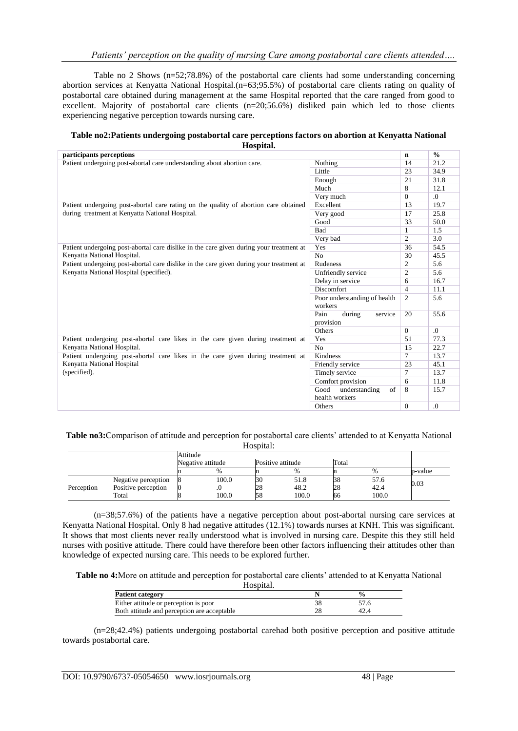Table no 2 Shows (n=52;78.8%) of the postabortal care clients had some understanding concerning abortion services at Kenyatta National Hospital.(n=63;95.5%) of postabortal care clients rating on quality of postabortal care obtained during management at the same Hospital reported that the care ranged from good to excellent. Majority of postabortal care clients (n=20;56.6%) disliked pain which led to those clients experiencing negative perception towards nursing care.

#### **Table no2:Patients undergoing postabortal care perceptions factors on abortion at Kenyatta National Hospital.**

| participants perceptions                                                                |                                        | $\mathbf n$    | $\frac{0}{0}$ |
|-----------------------------------------------------------------------------------------|----------------------------------------|----------------|---------------|
| Patient undergoing post-abortal care understanding about abortion care.                 | Nothing                                | 14             | 21.2          |
|                                                                                         | Little                                 | 23             | 34.9          |
|                                                                                         | Enough                                 | 21             | 31.8          |
|                                                                                         | Much                                   | 8              | 12.1          |
|                                                                                         | Very much                              | $\Omega$       | $\Omega$ .    |
| Patient undergoing post-abortal care rating on the quality of abortion care obtained    | Excellent                              | 13             | 19.7          |
| during treatment at Kenyatta National Hospital.                                         | Very good                              | 17             | 25.8          |
|                                                                                         | Good                                   | 33             | 50.0          |
|                                                                                         | <b>Bad</b>                             | $\mathbf{1}$   | 1.5           |
|                                                                                         | Very bad                               | $\overline{c}$ | 3.0           |
| Patient undergoing post-abortal care dislike in the care given during your treatment at | Yes                                    | 36             | 54.5          |
| Kenyatta National Hospital.                                                             | No                                     | 30             | 45.5          |
| Patient undergoing post-abortal care dislike in the care given during your treatment at | Rudeness                               | $\overline{c}$ | 5.6           |
| Kenyatta National Hospital (specified).                                                 | Unfriendly service                     | $\overline{c}$ | 5.6           |
|                                                                                         | Delay in service                       | 6              | 16.7          |
|                                                                                         | <b>Discomfort</b>                      | $\overline{4}$ | 11.1          |
|                                                                                         | Poor understanding of health           | 2              | 5.6           |
|                                                                                         | workers                                |                |               |
|                                                                                         | Pain<br>during<br>service<br>provision | 20             | 55.6          |
|                                                                                         | Others                                 | $\Omega$       | $\Omega$ .    |
| Patient undergoing post-abortal care likes in the care given during treatment at        | Yes                                    | 51             | 77.3          |
| Kenyatta National Hospital.                                                             | No                                     | 15             | 22.7          |
| Patient undergoing post-abortal care likes in the care given during treatment at        | <b>Kindness</b>                        | $\tau$         | 13.7          |
| Kenyatta National Hospital                                                              | Friendly service                       | 23             | 45.1          |
| (specified).                                                                            | Timely service                         | $\overline{7}$ | 13.7          |
|                                                                                         | Comfort provision                      | 6              | 11.8          |
|                                                                                         | Good<br>understanding<br>of            | 8              | 15.7          |
|                                                                                         | health workers                         |                |               |
|                                                                                         | Others                                 | $\Omega$       | $\Omega$      |

**Table no3:**Comparison of attitude and perception for postabortal care clients' attended to at Kenyatta National Hospital:

|            |                     | Attitude |                   |                       |                   |       |               |         |
|------------|---------------------|----------|-------------------|-----------------------|-------------------|-------|---------------|---------|
|            |                     |          | Negative attitude |                       | Positive attitude | Total |               |         |
|            |                     |          | $\%$              |                       | $\%$              |       | $\frac{0}{0}$ | p-value |
|            | Negative perception |          | 100.0             | <b>B</b> <sub>0</sub> | 51.8              | 38    | 57.6          | 0.03    |
| Perception | Positive perception |          |                   | 28                    | 48.2              | 28    | 42.4          |         |
|            | Total               |          | 100.0             | 58                    | 100.0             | 66    | 100.0         |         |

(n=38;57.6%) of the patients have a negative perception about post-abortal nursing care services at Kenyatta National Hospital. Only 8 had negative attitudes (12.1%) towards nurses at KNH. This was significant. It shows that most clients never really understood what is involved in nursing care. Despite this they still held nurses with positive attitude. There could have therefore been other factors influencing their attitudes other than knowledge of expected nursing care. This needs to be explored further.

**Table no 4:**More on attitude and perception for postabortal care clients' attended to at Kenyatta National Hospital.

| TIUSDILAI.                                  |    |      |  |
|---------------------------------------------|----|------|--|
| <b>Patient category</b>                     |    |      |  |
| Either attitude or perception is poor       |    | 57.6 |  |
| Both attitude and perception are acceptable | 28 | 42.4 |  |

(n=28;42.4%) patients undergoing postabortal carehad both positive perception and positive attitude towards postabortal care.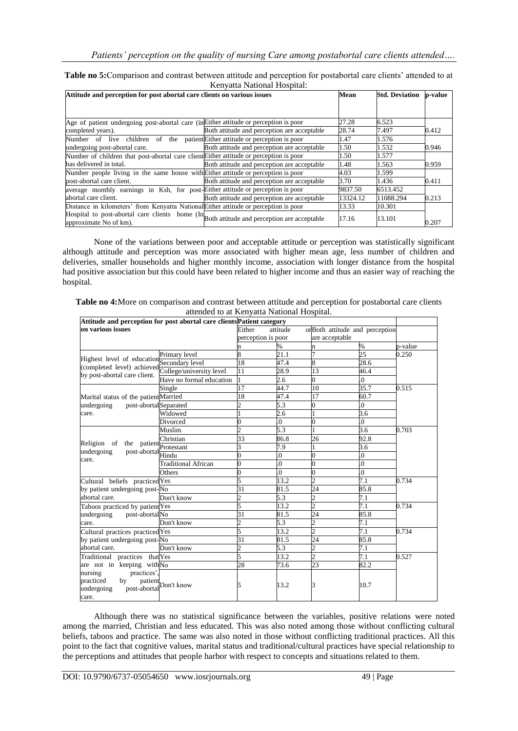#### **Table no 5:**Comparison and contrast between attitude and perception for postabortal care clients' attended to at Kenyatta National Hospital:

| Attitude and perception for post abortal care clients on various issues                                              | Mean                                        | <b>Std. Deviation</b> | p-value   |       |
|----------------------------------------------------------------------------------------------------------------------|---------------------------------------------|-----------------------|-----------|-------|
|                                                                                                                      |                                             |                       |           |       |
| Age of patient undergoing post-abortal care (in Either attitude or perception is poor                                |                                             | 27.28                 | 6.523     |       |
| completed years).                                                                                                    | Both attitude and perception are acceptable | 28.74                 | 7.497     | 0.412 |
| Number of live children of the patient Either attitude or perception is poor                                         |                                             | 1.47                  | 1.576     |       |
| undergoing post-abortal care.                                                                                        | Both attitude and perception are acceptable | 1.50                  | 1.532     | 0.946 |
| Number of children that post-abortal care client Either attitude or perception is poor                               |                                             | 1.50                  | 1.577     |       |
| has delivered in total.                                                                                              | Both attitude and perception are acceptable | 1.48                  | 1.563     | 0.959 |
| Number people living in the same house with Either attitude or perception is poor                                    |                                             | 4.03                  | 1.599     |       |
| post-abortal care client.                                                                                            | Both attitude and perception are acceptable | 3.70                  | 1.436     | 0.411 |
| average monthly earnings in Ksh, for post-Either attitude or perception is poor                                      |                                             | 9837.50               | 6513.452  |       |
| abortal care client.                                                                                                 | Both attitude and perception are acceptable | 13324.12              | 11088.294 | 0.213 |
| Distance in kilometers' from Kenyatta National Either attitude or perception is poor                                 |                                             | 13.33                 | 10.301    |       |
| Hospital to post-abortal care clients home (In Both attitude and perception are acceptable<br>approximate No of km). |                                             | 17.16                 | 13.101    | 0.207 |

None of the variations between poor and acceptable attitude or perception was statistically significant although attitude and perception was more associated with higher mean age, less number of children and deliveries, smaller households and higher monthly income, association with longer distance from the hospital had positive association but this could have been related to higher income and thus an easier way of reaching the hospital.

| Table no 4: More on comparison and contrast between attitude and perception for postabortal care clients |  |
|----------------------------------------------------------------------------------------------------------|--|
| attended to at Kenvatta National Hospital.                                                               |  |

| Attitude and perception for post abortal care clients Patient category          |                                     |                          |                                            |                          |                  |         |  |
|---------------------------------------------------------------------------------|-------------------------------------|--------------------------|--------------------------------------------|--------------------------|------------------|---------|--|
| on various issues                                                               |                                     | Either                   | attitude<br>orBoth attitude and perception |                          |                  |         |  |
|                                                                                 |                                     | perception is poor       |                                            | are acceptable           |                  |         |  |
|                                                                                 |                                     | n                        | $\%$                                       | n                        | $\%$             | p-value |  |
|                                                                                 | Primary level                       | 8                        | 21.1                                       | $\overline{7}$           | 25               | 0.250   |  |
| Highest level of education Secondary level<br>(completed level) achieved        |                                     | 18                       | 47.4                                       | 8                        | 28.6             |         |  |
| by post-abortal care client.                                                    | College/university level            | 11                       | 28.9                                       | 13                       | 46.4             |         |  |
|                                                                                 | Have no formal education            |                          | 2.6                                        | 0                        | $\overline{0}$   |         |  |
|                                                                                 | Single                              | 17                       | 44.7                                       | 10                       | 35.7             | 0.515   |  |
| Marital status of the patient Married                                           |                                     | 18                       | 47.4                                       | $\overline{17}$          | 60.7             |         |  |
| post-abortalSeparated<br>undergoing                                             |                                     | $\overline{c}$           | 5.3                                        | $\overline{0}$           | 0.               |         |  |
| care.                                                                           | Widowed                             |                          | 2.6                                        |                          | 3.6              |         |  |
|                                                                                 | Divorced                            | 0                        | $\overline{0}$ .                           | 0                        | 0.               |         |  |
|                                                                                 | Muslim                              | $\overline{\mathcal{L}}$ | 5.3                                        |                          | 3.6              | 0.703   |  |
|                                                                                 | Christian                           | 33                       | 86.8                                       | 26                       | 92.8             |         |  |
| Religion of the patient Protestant<br>post-abortal Hindu<br>undergoing<br>care. |                                     | 3                        | 7.9                                        |                          | 3.6              |         |  |
|                                                                                 |                                     | 0                        | $\overline{0}$ .                           | 0                        | $\Omega$         |         |  |
|                                                                                 | <b>Traditional African</b>          | 0                        | $\overline{0}$                             |                          | $\overline{0}$   |         |  |
|                                                                                 | Others                              | 0                        | $\overline{0}$ .                           | 0                        | $\overline{0}$ . |         |  |
| Cultural beliefs practiced Yes                                                  |                                     | 5                        | 13.2                                       | $\overline{\mathcal{L}}$ | 7.1              | 0.734   |  |
| by patient undergoing post-No                                                   |                                     | 31                       | 81.5                                       | 24                       | 85.8             |         |  |
| abortal care.                                                                   | Don't know                          | $\overline{c}$           | 5.3                                        | $\overline{c}$           | 7.1              |         |  |
| Taboos practiced by patient Yes                                                 |                                     | 5                        | 13.2                                       | $\overline{c}$           | 7.1              | 0.734   |  |
| post-abortalNo<br>undergoing                                                    |                                     | 31                       | 81.5                                       | 24                       | 85.8             |         |  |
| care.                                                                           | Don't know                          | $\overline{\mathbf{c}}$  | 5.3                                        | $\overline{c}$           | 7.1              |         |  |
| Cultural practices practiced Yes                                                |                                     | 5                        | 13.2                                       | $\overline{c}$           | 7.1              | 0.734   |  |
| by patient undergoing post-No                                                   |                                     | $\overline{31}$          | 81.5                                       | $\overline{24}$          | 85.8             |         |  |
| abortal care.                                                                   | Don't know                          | $\overline{c}$           | 5.3                                        | $\overline{c}$           | 7.1              |         |  |
| Traditional practices thatYes                                                   |                                     | 5                        | 13.2                                       | $\overline{2}$           | 7.1              | 0.527   |  |
| are not in keeping with $\overline{No}$                                         |                                     | 28                       | 73.6                                       | 23                       | 82.2             |         |  |
| practices'.                                                                     |                                     |                          |                                            |                          |                  |         |  |
| by                                                                              |                                     |                          | 13.2                                       |                          | 10.7             |         |  |
| nursing<br>practiced<br>undergoing<br>care.                                     | y patient<br>post-abortalDon't know |                          |                                            |                          |                  |         |  |

Although there was no statistical significance between the variables, positive relations were noted among the married, Christian and less educated. This was also noted among those without conflicting cultural beliefs, taboos and practice. The same was also noted in those without conflicting traditional practices. All this point to the fact that cognitive values, marital status and traditional/cultural practices have special relationship to the perceptions and attitudes that people harbor with respect to concepts and situations related to them.